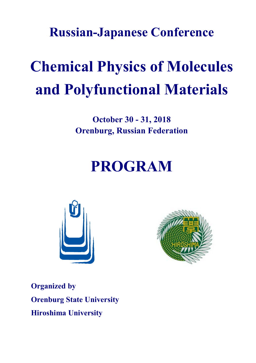**Russian-Japanese Conference**

# **Chemical Physics of Molecules and Polyfunctional Materials**

**October 30 - 31, 2018 Orenburg, Russian Federation**

## **PROGRAM**





**Organized by Orenburg State University Hiroshima University**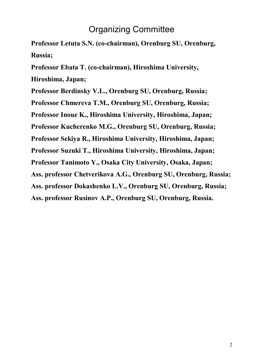## Organizing Committee

**Professor Letuta S.N. (co-chairman), Orenburg SU, Orenburg, Russia;**

**Professor Ebata T. (co-chairman), Hiroshima University,**

**Hiroshima, Japan;**

**Professor Berdinsky V.L., Orenburg SU, Orenburg, Russia;**

**Professor Chmereva T.M., Orenburg SU, Orenburg, Russia;**

**Professor Inoue K., Hiroshima University, Hiroshima, Japan;**

**Professor Kucherenko M.G., Orenburg SU, Orenburg, Russia;**

**Professor Sekiya R., Hiroshima University, Hiroshima, Japan;**

**Professor Suzuki T., Hiroshima University, Hiroshima, Japan;**

**Professor Tanimoto Y., Osaka City University, Osaka, Japan;**

**Ass. professor Chetverikova A.G., Orenburg SU, Orenburg, Russia;**

**Ass. professor Dokashenko L.V., Orenburg SU, Orenburg, Russia;**

**Ass. professor Rusinov A.P., Orenburg SU, Orenburg, Russia.**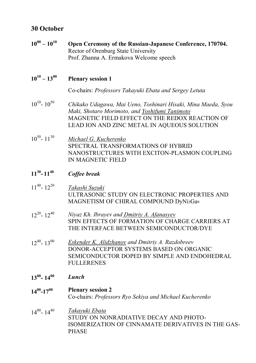## **30 October**

| $10^{00} - 10^{10}$ | Open Ceremony of the Russian-Japanese Conference, 170704.<br>Rector of Orenburg State University<br>Prof. Zhanna A. Ermakova Welcome speech                                                                      |
|---------------------|------------------------------------------------------------------------------------------------------------------------------------------------------------------------------------------------------------------|
| $10^{10} - 13^{00}$ | <b>Plenary session 1</b>                                                                                                                                                                                         |
|                     | Co-chairs: Professors Takayuki Ebata and Sergey Letuta                                                                                                                                                           |
| $10^{10} - 10^{50}$ | Chikako Udagawa, Mai Ueno, Toshinari Hisaki, Mina Maeda, Syou<br>Maki, Shotaro Morimoto, and Yoshifumi Tanimoto<br>MAGNETIC FIELD EFFECT ON THE REDOX REACTION OF<br>LEAD ION AND ZINC METAL IN AQUEOUS SOLUTION |
| $10^{50} - 11^{30}$ | Michael G. Kucherenko<br>SPECTRAL TRANSFORMATIONS OF HYBRID<br>NANOSTRUCTURES WITH EXCITON-PLASMON COUPLING<br><b>IN MAGNETIC FIELD</b>                                                                          |
| $11^{30} - 11^{40}$ | Coffee break                                                                                                                                                                                                     |
| $11^{40} - 12^{20}$ | Takashi Suzuki<br>ULTRASONIC STUDY ON ELECTRONIC PROPERTIES AND<br>MAGNETISM OF CHIRAL COMPOUND DyNisGa9                                                                                                         |
| $12^{20} - 12^{40}$ | Niyaz Kh. Ibrayev and <b>Dmitriy A. Afanasyev</b><br>SPIN EFFECTS OF FORMATION OF CHARGE CARRIERS AT<br>THE INTERFACE BETWEEN SEMICONDUCTOR/DYE                                                                  |
| $12^{40} - 13^{00}$ | <b>Eskender K. Alidzhanov and Dmitriy A. Razdobreev</b><br>DONOR-ACCEPTOR SYSTEMS BASED ON ORGANIC<br>SEMICONDUCTOR DOPED BY SIMPLE AND ENDOHEDRAL<br><b>FULLERENES</b>                                          |
| $13^{00} - 14^{00}$ | Lunch                                                                                                                                                                                                            |
| $14^{00} - 17^{00}$ | <b>Plenary session 2</b><br>Co-chairs: Professors Ryo Sekiya and Michael Kucherenko                                                                                                                              |
| $14^{00} - 14^{40}$ | <u>Takayuki Ebata</u><br>STUDY ON NONRADIATIVE DECAY AND PHOTO-<br>ISOMERIZATION OF CINNAMATE DERIVATIVES IN THE GAS-<br><b>PHASE</b>                                                                            |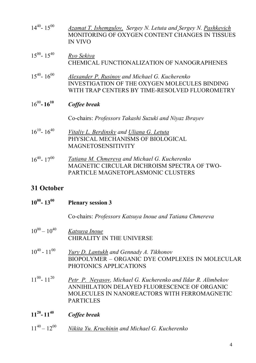| $14^{40} - 15^{00}$ | Azamat T. Ishemgulov, Sergey N. Letuta and Sergey N. Pashkevich |
|---------------------|-----------------------------------------------------------------|
|                     | MONITORING OF OXYGEN CONTENT CHANGES IN TISSUES                 |
|                     | IN VIVO                                                         |

- $15^{00} 15^{40}$ *Ryo Sekiya* CHEMICAL FUNCTIONALIZATION OF NANOGRAPHENES
- $15^{40} 16^{00}$ *Alexander P. Rusinov and Michael G. Kucherenko* INVESTIGATION OF THE OXYGEN MOLECULES BINDING WITH TRAP CENTERS BY TIME-RESOLVED FLUOROMETRY

#### $16^{00} - 16^{10}$ *Coffee break*

Co-chairs: *Professors Takashi Suzuki and Niyaz Ibrayev*

- $16^{10} 16^{40}$ *Vitaliy L. Berdinsky and Uliana G. Letuta* PHYSICAL MECHANISMS OF BIOLOGICAL MAGNETOSENSITIVITY
- $16^{40} 17^{00}$ *Tatiana M. Chmereva and Michael G. Kucherenko* MAGNETIC CIRCULAR DICHROISM SPECTRA OF TWO-PARTICLE MAGNETOPLASMONIC CLUSTERS

## **31 October**

| $10^{00} - 13^{00}$ | <b>Plenary session 3</b>                                                                                                                                                          |
|---------------------|-----------------------------------------------------------------------------------------------------------------------------------------------------------------------------------|
|                     | Co-chairs: Professors Katsuya Inoue and Tatiana Chmereva                                                                                                                          |
| $10^{00} - 10^{40}$ | Katsuya Inoue<br><b>CHIRALITY IN THE UNIVERSE</b>                                                                                                                                 |
| $10^{40} - 11^{00}$ | Yury D. Lantukh and Gennady A. Tikhonov<br>BIOPOLYMER – ORGANIC DYE COMPLEXES IN MOLECULAR<br>PHOTONICS APPLICATIONS                                                              |
| $11^{00} - 11^{20}$ | Petr P. Neyasov, Michael G. Kucherenko and Ildar R. Alimbekov<br>ANNIHILATION DELAYED FLUORESCENCE OF ORGANIC<br>MOLECULES IN NANOREACTORS WITH FERROMAGNETIC<br><b>PARTICLES</b> |
| $11^{20} - 11^{40}$ | Coffee break                                                                                                                                                                      |

 $11^{40} - 12$ <sup>00</sup> *Nikita Yu. Kruchinin and Michael G. Kucherenko*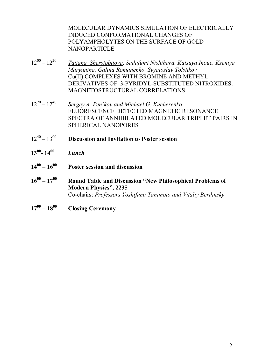MOLECULAR DYNAMICS SIMULATION OF ELECTRICALLY INDUCED CONFORMATIONAL CHANGES OF POLYAMPHOLYTES ON THE SURFACE OF GOLD NANOPARTICLE

- $12^{00} 12^{20}$ *Tatiana Sherstobitova, Sadafumi Nishihara, Katsuya Inoue, Kseniya Maryunina, Galina Romanenko, Svyatoslav Tolstikov* Cu(II) COMPLEXES WITH BROMINE AND METHYL DERIVATIVES OF 3-PYRIDYL-SUBSTITUTED NITROXIDES: MAGNETOSTRUCTURAL CORRELATIONS
- $12^{20} 12^{40}$ *Sergey A. Pen'kov and Michael G. Kucherenko*  FLUORESCENCE DETECTED MAGNETIC RESONANCE SPECTRA OF ANNIHILATED MOLECULAR TRIPLET PAIRS IN SPHERICAL NANOPORES
- $12^{40} 13^{00}$ **Discussion and Invitation to Poster session**
- **13<sup>00</sup> - 14<sup>00</sup>** *Lunch*
- $14^{00} 16^{00}$ **Poster session and discussion**
- $16^{00} 17$ **<sup>00</sup>Round Table and Discussion "New Philosophical Problems of Modern Physics", 2235** Co-chairs: *Professors Yoshifumi Tanimoto and Vitaliy Berdinsky*
- $17^{00} 18$ **<sup>00</sup>Closing Ceremony**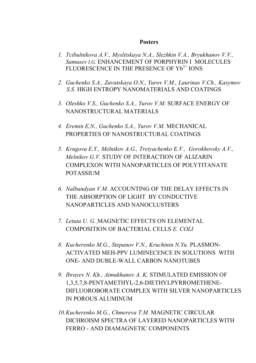### **Posters**

- *1. Tcibulnikova A.V., Myslitskaya N.A., Slezhkin V.A., Bryukhanov V.V., Samusev I.G.* ENHANCEMENT OF PORPHYRIN I MOLECULES FLUORESCENCE IN THE PRESENCE OF Yb<sup>3+</sup> IONS
- *2. Guchenko S.A., Zavatskaya O.N., Yurov V.M., Laurinas V.Ch., Kasymov S.S.* HIGH ENTROPY NANOMATERIALS AND COATINGS
- *3. Oleshko V.S., Guchenko S.A., Yurov V.M.* SURFACE ENERGY OF NANOSTRUCTURAL MATERIALS
- *4. Eremin E,N., Guchenko S.A., Yurov V.M.* MECHANICAL PROPERTIES OF NANOSTRUCTURAL COATINGS
- *5. Krugova E.Y., Melnikov A.G., Tretyachenko E.V., Gorokhovsky A.V., Melnikov G.V.* STUDY OF INTERACTION OF ALIZARIN COMPLEXON WITH NANOPARTICLES OF POLYTITANATE **POTASSIUM**
- *6. Nalbandyan V.M*. ACCOUNTING OF THE DELAY EFFECTS IN THE ABSORPTION OF LIGHT BY CONDUCTIVE NANOPARTICLES AND NANOCLUSTERS
- *7. Letuta U. G.* MAGNETIC EFFECTS ON ELEMENTAL COMPOSITION OF BACTERIAL CELLS *E. COLI*
- *8. Kucherenko M.G., Stepanov V.N., Kruchinin N.Yu.* PLASMON-ACTIVATED MEH-PPV LUMINECENCE IN SOLUTIONS WITH ONE- AND DUBLE-WALL CARBON NANOTUBES
- *9. Ibrayev N. Kh., Аimukhanov А. K.* STIMULATED EMISSION OF 1,3,5,7,8-PENTAMETHYL-2,6-DIETHYLPYRROMETHENE-DIFLUOROBORATE COMPLEX WITH SILVER NANOPARTICLES IN POROUS ALUMINUM
- *10.Kucherenko M.G., Chmereva T.M.* MAGNETIC CIRCULAR DICHROISM SPECTRA OF LAYERED NANOPARTICLES WITH FERRO - AND DIAMAGNETIC COMPONENTS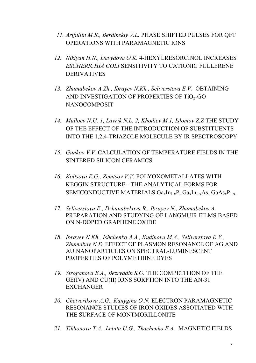- *11. Arifullin M.R., Berdinskiy V.L.* PHASE SHIFTED PULSES FOR QFT OPERATIONS WITH PARAMAGNETIC IONS
- *12. Nikiyan H.N., Davydova O.K.* 4-HEXYLRESORCINOL INCREASES *ESCHERICHIA COLI* SENSITIVITY TO CATIONIC FULLERENE DERIVATIVES
- *13. Zhumabekov A.Zh., Ibrayev N.Kh., Seliverstova E.V.* OBTAINING AND INVESTIGATION OF PROPERTIES OF TiO<sub>2</sub>-GO NANOCOMPOSIT
- *14. Mulloev N.U. 1, Lavrik N.L. 2, Khodiev M.1, Islomov Z.Z* THE STUDY OF THE EFFECT OF THE INTRODUCTION OF SUBSTITUENTS INTO THE 1,2,4-TRIAZOLE MOLECULE BY IR SPECTROSCOPY
- *15. Gunkov V.V.* CALCULATION OF TEMPERATURE FIELDS IN THE SINTERED SILICON CERAMICS
- *16. Koltsova E.G., Zemtsov V.V.* POLYOXOMETALLATES WITH KEGGIN STRUCTURE - THE ANALYTICAL FORMS FOR SEMICONDUCTIVE MATERIALS  $Ga_xIn_{1-x}P$ ,  $Ga_xIn_{1-x}As$ ,  $GaAs_xP_{1-x}$ .
- *17. Seliverstova E., Dzhanabekova R., Ibrayev N., Zhumabekov A.* PREPARATION AND STUDYING OF LANGMUIR FILMS BASED ON N-DOPED GRAPHENE OXIDE
- *18. Ibrayev N.Kh., Ishchenko A.A., Kudinova M.A., Seliverstova E.V., Zhumabay N.D.* EFFECT OF PLASMON RESONANCE OF AG AND AU NANOPARTICLES ON SPECTRAL-LUMINESCENT PROPERTIES OF POLYMETHINE DYES
- *19. Stroganova E.A., Bezryadin S.G.* THE COMPETITION OF THE GE(IV) AND CU(II) IONS SORPTION INTO THE AN-31 **EXCHANGER**
- *20. Chetverikova A.G., Kanygina O.N.* ELECTRON PARAMAGNETIC RESONANCE STUDIES OF IRON OXIDES ASSOTIATED WITH THE SURFACE OF MONTMORILLONITE
- *21. Tikhonova T.A., Letuta U.G., Tkachenko E.A.* MAGNETIC FIELDS